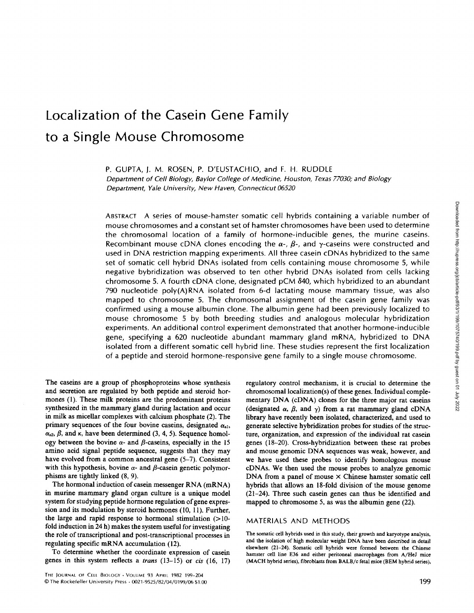# Localization of the Casein Gene Family to <sup>a</sup> Single Mouse Chromosome

P. GUPTA, ). M. ROSEN, P. D'EUSTACHIO, and F. H. RUDDLE Department of Cell Biology, Baylor College of Medicine, Houston, Texas 77030, and Biology Department, Yale University, New Haven, Connecticut 06520

ABSTRACT A series of mouse-hamster somatic cell hybrids containing <sup>a</sup> variable number of mouse chromosomes and a constant set of hamster chromosomes have been used to determine the chromosomal location of a family of hormone-inducible genes, the murine caseins. Recombinant mouse cDNA clones encoding the  $\alpha$ -,  $\beta$ -, and y-caseins were constructed and used in DNA restriction mapping experiments. All three casein cDNAs hybridized to the same set of somatic cell hybrid DNAs isolated from cells containing mouse chromosome 5, while negative hybridization was observed to ten other hybrid DNAs isolated from cells lacking chromosome 5. A fourth cDNA clone, designated pCM 540, which hybridized to an abundant 790 nucleotide poly(A)RNA isolated from 6-d lactating mouse mammary tissue, was also mapped to chromosome 5. The chromosomal assignment of the casein gene family was confirmed using a mouse albumin clone. The albumin gene had been previously localized to mouse chromosome 5 by both breeding studies and analogous molecular hybridization experiments. An additional control experiment demonstrated that another hormone-inducible gene, specifying <sup>a</sup> <sup>620</sup> nucleotide abundant mammary gland mRNA, hybridized to DNA isolated from a different somatic cell hybrid line. These studies represent the first localization of a peptide and steroid hormone-responsive gene family to a single mouse chromosome.

The caseins are a group of phosphoproteins whose synthesis and secretion are regulated by both peptide and steroid hormones (1). These milk proteins are the predominant proteins synthesized in the mammary gland during lactation and occur in milk as micellar complexes with calcium phosphate (2). The primary sequences of the four bovine caseins, designated  $\alpha_{s,l}$ ,  $\alpha_{s2}$ ,  $\beta$ , and  $\kappa$ , have been determined (3, 4, 5). Sequence homology between the bovine  $\alpha$ - and  $\beta$ -caseins, especially in the 15 amino acid signal peptide sequence, suggests that they may have evolved from a common ancestral gene (5-7). Consistent with this hypothesis, bovine  $\alpha$ - and  $\beta$ -casein genetic polymorphisms are tightly linked (8, 9).

The hormonal induction of casein messenger RNA (mRNA) in murine mammary gland organ culture is a unique model system for studying peptide hormone regulation of gene expression and its modulation by steroid hormones (10, 11). Further, the large and rapid response to hormonal stimulation (>10 fold induction in 24 h) makes the system useful for investigating the role of transcriptional and post-transcriptional processes in regulating specific mRNA accumulation (12).

To determine whether the coordinate expression of casein genes in this system reflects a trans (13-15) or cis (16, 17)

regulatory control mechanism, it is crucial to determine the chromosomal localization(s) of these genes. Individual complementary DNA (cDNA) clones for the three major rat caseins (designated  $\alpha$ ,  $\beta$ , and  $\gamma$ ) from a rat mammary gland cDNA library have recently been isolated, characterized, and used to generate selective hybridization probes for studies of the structure, organization, and expression of the individual rat casein genes (18-20). Cross-hybridization between these rat probes and mouse genomic DNA sequences was weak, however, and we have used these probes to identify homologous mouse cDNAs. We then used the mouse probes to analyze genomic DNA from a panel of mouse  $\times$  Chinese hamster somatic cell hybrids that allows an 18-fold division of the mouse genome (21-24). Three such casein genes can thus be identified and mapped to chromosome 5, as was the albumin gene (22).

## MATERIALS AND METHODS

The somatic cell hybrids used in this study, their growth and karyotype analysis, and the isolation of high molecular weight DNA have been described in detail elsewhere (21-24). Somatic cell hybrids were formed between the Chinese hamster cell line E36 and either peritoneal macrophages from A/HeJ mice (MACH hybrid series), fibroblasts from BALB/c fetal mice (BEM hybrid series),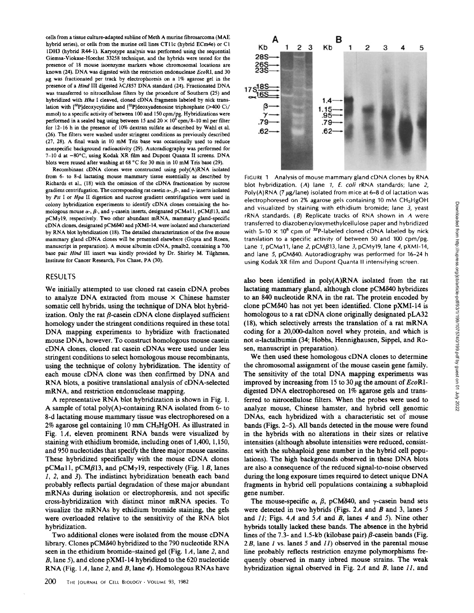cells from <sup>a</sup> tissue culture-adapted sublime of Meth Amurine fibrosarcoma (MAE hybrid series), or cells from the murine cell lines CTI lc (hybrid ECm4e) or CI IDH3 (hybrid R44-1). Karyotype analysis was performed using the sequential Giemsa-Viokase-Hoechst 33258 technique, and the hybrids were tested for the presence of 18 mouse isoenzyme markers whose chromosomal locations are known (24). DNA was digested with the restriction endonuclease EcoRI, and 30  $\mu$ g was fractionated per track by electrophoresis on a 1% agarose gel in the presence of a Hind III digested  $\lambda$ C1857 DNA standard (24). Fractionated DNA was transferred to nitrocellulose filters by the procedure of Southern (25) and hybridized with Hha <sup>I</sup> cleaved, cloned cDNA fragments labeled by nick translation with  $[32P]$ deoxycytidine and  $[32P]$ deoxyadenosine triphosphate (>400 Ci/ mmol) to a specific activity of between 100 and 150 cpm/pg. Hybridizations were performed in a sealed bag using between 15 and  $20 \times 10^6$  cpm/8-10 ml per filter for 12-16 h in the presence of 10% dextran sulfate as described by Wahl et al. (26) . The filters were washed under stringent conditions as previously described (27, 28). A final wash in <sup>10</sup> mM Tris base was occasionally used to reduce nonspecific background radioactivity (29) . Autoradiography was performed for 7-10 d at -80°C, using Kodak XR film and Dupont Quanta II screens. DNA blots were reused after washing at 68 °C for 30 min in 10 mM Tris base (29).

Recombinant cDNA clones were constructed using poly(A)RNA isolated from 6- to 8-d lactating mouse mammary tissue essentially as described by Richards et al., (18) with the omission of the cDNA fractionation by sucrose gradient centrifugation. The corresponding rat case in  $\alpha$ -,  $\beta$ -, and  $\gamma$ -inserts isolated by Pst I or Hpa II digestion and sucrose gradient centrifugation were used in colony hybridization experiments to identify cDNA clones containing the homologous mouse  $\alpha$ -,  $\beta$ -, and  $\gamma$ -casein inserts, designated pCMa11, pCM $\beta$ 13, and pCMyl9, respectively. Two other abundant mRNA, mammary gland-specific cDNAclones, designated pCMS40 and pXMI-14, were isolated and characterized by RNA blot hybridization (18). The detailed characterization of the five mouse mammary gland cDNA clones will be presented elsewhere (Gupta and Rosen, manuscript in preparation). A mouse albumin cDNA, pmalb2, containing a 700 base pair Hind III insert was kindly provided by Dr. Shirley M. Tilghman, Institute for Cancer Research, Fox Chase, PA (30).

### RESULTS

We initially attempted to use cloned rat casein cDNA probes to analyze DNA extracted from mouse  $\times$  Chinese hamster somatic cell hybrids, using the technique of DNA blot hybridization. Only the rat  $\beta$ -casein cDNA clone displayed sufficient homology under the stringent conditions required in these total DNA mapping experiments to hybridize with fractionated mouse DNA, however. To construct homologous mouse casein cDNA clones, cloned rat casein cDNAs were used under less stringent conditions to select homologous mouse recombinants, using the technique of colony hybridization . The identity of each mouse cDNA clone was then confirmed by DNA and RNA blots, <sup>a</sup> positive translational analysis of cDNA-selected mRNA, and restriction endonuclease mapping.

A representative RNA blot hybridization is shown in Fig. 1. A sample of total poly(A)-containing RNA isolated from 6- to 8-d lactating mouse mammary tissue was electrophoresed on a 2% agarose gel containing 10 mm CH3HgOH. As illustrated in Fig.  $1A$ , eleven prominent RNA bands were visualized by staining with ethidium bromide, including ones of 1,400, 1,150, and 950 nucleotides that specify the three major mouse caseins . These hybridized specifically with the mouse cDNA clones  $pCMa11$ ,  $pCMB13$ , and  $pCMy19$ , respectively (Fig. 1B, lanes 1, 2, and 3) . The indistinct hybridization beneath each band probably reflects partial degradation of these major abundant mRNAs during isolation or electrophoresis, and not specific cross-hybridization with distinct minor mRNA species . To visualize the mRNAs by ethidium bromide staining, the gels were overloaded relative to the sensitivity of the RNA blot hybridization.

Two additional clones were isolated from the mouse cDNA library. Clones pCM840 hybridized to the 790 nucleotide RNA seen in the ethidium bromide-stained gel (Fig. <sup>1</sup> A, lane 2, and B, lane 5), and clone pXMI-14 hybridized to the 620 nucleotide RNA (Fig. 1A, lane 2, and B, lane 4). Homologous RNAs have



FIGURE <sup>1</sup> Analysis of mouse mammary gland cDNA clones by RNA blot hybridization. (A) lane 1, E. coli rRNA standards; lane 2, Poly(A)RNA (7  $\mu$ g/lane) isolated from mice at 6-8 d of lactation was electrophoresed on 2% agarose gels containing 10 mM CH<sub>3</sub>HgOH and visualized by staining with ethidium bromide; lane 3, yeast  $rRNA$  standards. (B) Replicate tracks of RNA shown in  $A$  were transferred to diazobenzyloxymethylcelIulose paper and hybridized with 5-10  $\times$  10<sup>6</sup> cpm of <sup>32</sup>P-labeled cloned cDNA labeled by nick translation to a specific activity of between 50 and 100 cpm/pg. Lane 1, pCMa11, lane 2, pCMB13, lane 3, pCMy19, lane 4, pXMI-14, and lane 5, pCM840. Autoradiography was performed for 16-24 h using Kodak XR film and Dupont Quanta II intensifying screen .

also been identified in poly(A)RNA isolated from the rat lactating mammary gland, although clone pCM840 hybridizes to an <sup>840</sup> nucleotide RNA in the rat. The protein encoded by clone pCM840 has not yet been identified. Clone pXMI-14 is homologous to a rat cDNA clone originally designated pLA32 (18), which selectively arrests the translation of a rat mRNA coding for a 20,000-dalton novel whey protein, and which is not a-lactalbumin (34; Hobbs, Hennighausen, Sippel, and Rosen, manuscript in preparation).

We then used these homologous cDNA clones to determine the chromosomal assignment of the mouse casein gene family. The sensitivity of the total DNA mapping experiments was improved by increasing from 15 to 30  $\mu$ g the amount of EcoRIdigested DNA electrophoresed on 1% agarose gels and transferred to nitrocellulose filters. When the probes were used to analyze mouse, Chinese hamster, and hybrid cell genomic DNAs, each hybridized with a characteristic set of mouse bands (Figs. 2-5). All bands detected in the mouse were found in the hybrids with no alterations in their sizes or relative intensities (although absolute intensities were reduced, consistent with the subhaploid gene number in the hybrid cell populations). The high backgrounds observed in these DNA blots are also a consequence of the reduced signal-to-noise observed during the long exposure times required to detect unique DNA fragments in hybrid cell populations containing a subhaploid gene number.

The mouse-specific  $\alpha$ ,  $\beta$ , pCM840, and  $\gamma$ -casein band sets were detected in two hybrids (Figs.  $2A$  and B and 3, lanes 5 and  $11$ ; Figs. 4A and 5A and B, lanes 4 and 5). Nine other hybrids totally lacked these bands. The absence in the hybrid lines of the 7.3- and 1.5-kb (kilobase pair)  $\beta$ -casein bands (Fig. 2B, lane 1 vs. lanes 5 and 11) observed in the parental mouse line probably reflects restriction enzyme polymorphisms frequently observed in many inbred mouse strains. The weak hybridization signal observed in Fig. 2A and B, lane  $11$ , and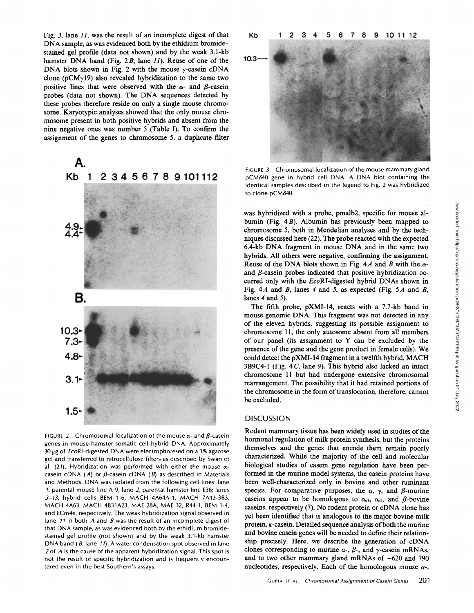Fig. 3, lane 11, was the result of an incomplete digest of that DNA sample, as was evidenced both by the ethidium bromidestained gel profile (data not shown) and by the weak 3.1-kb hamster DNA band (Fig.  $2B$ , lane  $II$ ). Reuse of one of the DNA blots shown in Fig. 2 with the mouse  $\gamma$ -casein cDNA clone ( $pCMy19$ ) also revealed hybridization to the same two positive lines that were observed with the  $\alpha$ - and  $\beta$ -casein probes (data not shown). The DNA sequences detected by these probes therefore reside on only a single mouse chromosome. Karyotypic analyses showed that the only mouse chromosome present in both positive hybrids and absent from the nine negative ones was number 5 (Table I). To confirm the assignment of the genes to chromosome 5, a duplicate filter



FIGURE 2 Chromosomal localization of the mouse  $\alpha$ - and  $\beta$ -casein genes in mouse-hamster somatic cell hybrid DNA. Approximately  $30 \mu$ g of EcoRI-digested DNA were electrophoresed on a 1% agarose gel and transferred to nitrocellulose filters as described by Swan et al. (21). Hybridization was performed with either the mouse  $\alpha$ casein cDNA (A) or  $\beta$ -casein cDNA (B) as described in Materials and Methods. DNA was isolated from the following cell lines: lane 1, parental mouse line A-9; lane 2, parental hamster line E36; lanes 3-13, hybrid cells BEM 1-6, MACH 4A64A-1, MACH 7A13-3B3, MACH 4A63, MACH 4B31A23, MAE 28A, MAE 32, R44-1, BEM 1-4, and ECm4e, respectively. The weak hybridization signal observed in lane 11 in both A and B was the result of an incomplete digest of that DNA sample, as was evidenced both by the ethidium bromidestained gel profile (not shown) and by the weak <sup>3</sup> .1-kb hamster DNA band  $(B, \text{lane } 11)$ . A water condensation spot observed in lane 2 of A is the cause of the apparent hybridization signal. This spot is not the result of specific hybridization and is frequently encountered even in the best Southern's assays .



FIGURE 3 Chromosomal localization of the mouse mammary gland pCMS40 gene in hybrid cell DNA. A DNA blot containing the identical samples described in the legend to Fig. 2 was hybridized to clone pCMδ40.

was hybridized with a probe, pmalb2, specific for mouse albumin (Fig. 4B). Albumin has previously been mapped to chromosome 5, both in Mendelian analyses and by the techniques discussed here (22) . The probe reacted with the expected 6.4-kb DNA fragment in mouse DNA and in the same two hybrids . All others were negative, confirming the assignment. Reuse of the DNA blots shown in Fig. 4A and B with the  $\alpha$ and  $\beta$ -casein probes indicated that positive hybridization occurred only with the EcoRI-digested hybrid DNAs shown in Fig.  $4A$  and B, lanes 4 and 5, as expected (Fig.  $5A$  and B, lanes  $4$  and  $5$ ).

The fifth probe, pXMI-14, reacts with a 7.7-kb band in mouse genomic DNA. This fragment was not detected in any of the eleven hybrids, suggesting its possible assignment to chromosome 11, the only autosome absent from all members of our panel (its assignment to Y can be excluded by the presence of the gene and the gene product in female cells). We could detect the pXMI-14 fragment in <sup>a</sup> twelfth hybrid, MACH  $3B9C4-1$  (Fig. 4 C, lane 9). This hybrid also lacked an intact chromosome 11 but had undergone extensive chromosomal rearrangement. The possibility that it had retained portions of the chromosome in the form of translocation, therefore, cannot be excluded.

#### **DISCUSSION**

Rodent mammary tissue has been widely used in studies of the hormonal regulation of milk protein synthesis, but the proteins themselves and the genes that encode them remain poorly characterized. While the majority of the cell and molecular biological studies of casein gene regulation have been performed in the murine model systems, the casein proteins have been well-characterized only in bovine and other ruminant species. For comparative purposes, the  $\alpha$ ,  $\gamma$ , and  $\beta$ -murine caseins appear to be homologous to  $\alpha_{s1}$ ,  $\alpha_{s2}$ , and  $\beta$ -bovine caseins, respectively (7). No rodent protein or cDNA clone has yet been identified that is analogous to the major bovine milk protein,  $\kappa$ -casein. Detailed sequence analysis of both the murine and bovine casein genes will be needed to define their relationship precisely. Here, we describe the generation of cDNA clones corresponding to murine  $\alpha$ -,  $\beta$ -, and  $\gamma$ -casein mRNAs, and to two other mammary gland mRNAs of  $~620$  and 790 nucleotides, respectively. Each of the homologous mouse  $\alpha$ -,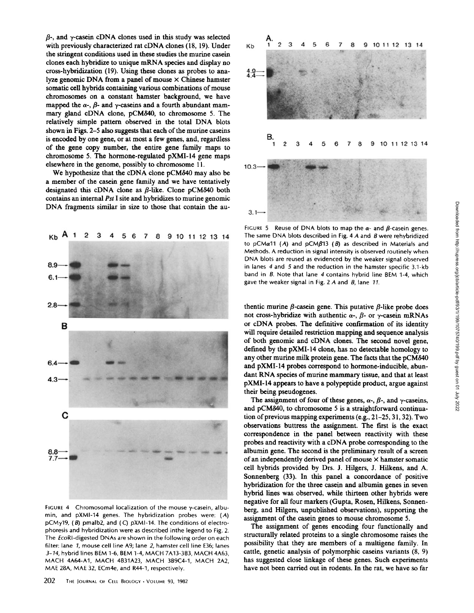$\beta$ -, and  $\gamma$ -casein cDNA clones used in this study was selected with previously characterized rat cDNA clones (18, 19). Under the stringent conditions used in these studies the murine casein clones each hybridize to unique mRNA species and display no cross-hybridization (19). Using these clones as probes to analyze genomic DNA from a panel of mouse  $\times$  Chinese hamster somatic cell hybrids containing various combinations of mouse chromosomes on a constant hamster background, we have mapped the  $\alpha$ -,  $\beta$ - and  $\gamma$ -caseins and a fourth abundant mammary gland cDNA clone, pCM840, to chromosome 5. The relatively simple pattern observed in the total DNA blots shown in Figs. 2-5 also suggests that each of the murine caseins is encoded by one gene, or at most a few genes, and, regardless of the gene copy number, the entire gene family maps to chromosome 5. The hormone-regulated pXMI-14 gene maps elsewhere in the genome, possibly to chromosome 11.

We hypothesize that the cDNA clone pCM840 may also be a member of the casein gene family and we have tentatively designated this cDNA clone as  $\beta$ -like. Clone pCM $\delta$ 40 both contains an internal Pst I site and hybridizes to murine genomic DNA fragments similar in size to those that contain the au-



FIGURE 4 Chromosomal localization of the mouse  $\gamma$ -casein, albumin, and pXMI-14 genes. The hybridization probes were: (A) pCMy19, (8) pmalb2, and (C) pXMI-14. The conditions of electrophoresis and hybridization were as described inthe legend to Fig. 2. The EcoRI-digested DNAs are shown in the following order on each filter: lane 1, mouse cell line A9; lane 2, hamster cell line E36; lanes 3-14, hybrid lines BEM 1-6, BEM 1-4, MACH 7A13-3B3, MACH 4A63, MACH 4A64-A1, MACH 4B31A23, MACH 3B9C4-1, MACH 2A2, MAE 28A, MAE 32, ECm4e, and R44-1, respectively.



FIGURE 5 Reuse of DNA blots to map the  $\alpha$ - and  $\beta$ -casein genes. The same DNA blots described in Fig. 4  $\AA$  and  $\AA$  were rehybridized to pCM $\alpha$ 11 (A) and pCM $\beta$ 13 ( $\beta$ ) as described in Materials and Methods . A reduction in signal intensity is observed routinely when DNA blots are reused as evidenced by the weaker signal observed in lanes  $4$  and  $5$  and the reduction in the hamster specific  $3.1$ -kb band in 8. Note that lane 4 contains hybrid line BEM 1-4, which gave the weaker signal in Fig. 2  $A$  and  $B$ , lane 11.

thentic murine  $\beta$ -casein gene. This putative  $\beta$ -like probe does not cross-hybridize with authentic  $\alpha$ -,  $\beta$ - or  $\gamma$ -casein mRNAs or cDNA probes. The definitive confirmation of its identity will require detailed restriction mapping and sequence analysis of both genomic and cDNA clones. The second novel gene, defined by the pXMI-14 clone, has no detectable homology to any other murine milk protein gene. The facts that the pCM840 and pXMI-14 probes correspond to hormone-inducible, abundant RNA species of murine mammary tissue, and that at least pXMI-14 appears to have a polypeptide product, argue against their being pseudogenes.

The assignment of four of these genes,  $\alpha$ -,  $\beta$ -, and  $\gamma$ -caseins, and pCM840, to chromosome <sup>5</sup> is a straightforward continuation of previous mapping experiments (e.g.,  $21-25$ ,  $31$ ,  $32$ ). Two observations buttress the assignment. The first is the exact correspondence in the panel between reactivity with these probes and reactivity with a cDNA probe corresponding to the albumin gene. The second is the preliminary result of a screen of an independently derived panel of mouse  $\times$  hamster somatic cell hybrids provided by Drs. J. Hilgers, J. Hilkens, and A. Sonnenberg (33). In this panel a concordance of positive hybridization for the three casein and albumin genes in seven hybrid lines was observed, while thirteen other hybrids were negative for all four markers (Gupta, Rosen, Hilkens, Sonnenberg, and Hilgers, unpublished observations), supporting the assignment of the casein genes to mouse chromosome 5.

The assignment of genes encoding four functionally and structurally related proteins to a single chromosome raises the possibility that they are members of a multigene family. In cattle, genetic analysis of polymorphic caseins variants (8, 9) has suggested close linkage of these genes. Such experiments have not been carried out in rodents. In the rat, we have so far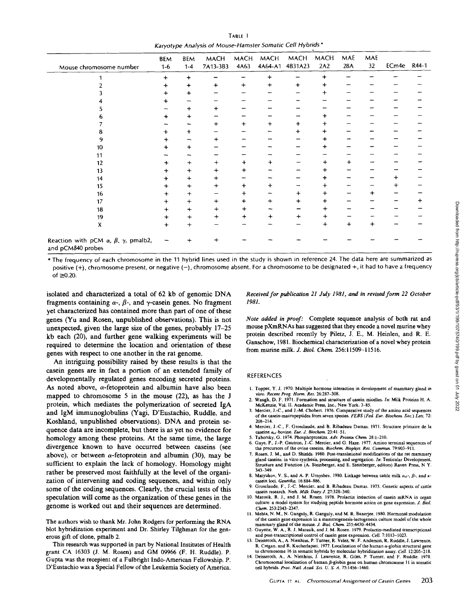TABLE <sup>I</sup> Karyotype Analysis of Mouse-Hamster Somatic Cell Hybrids'

| Mouse chromosome number                                                        | BEM<br>$1 - 6$ | <b>BEM</b><br>$1 - 4$ | <b>MACH</b><br>7A13-3B3 | <b>MACH</b><br>4A63 | <b>MACH</b><br>4A64-A1 | <b>MACH</b><br>4B31A23 | <b>MACH</b><br>2A2 | MAE<br>28A | MAE<br>32 | ECm4e R44-1 |  |
|--------------------------------------------------------------------------------|----------------|-----------------------|-------------------------|---------------------|------------------------|------------------------|--------------------|------------|-----------|-------------|--|
|                                                                                | $\ddot{}$      | $\ddot{}$             |                         |                     | +                      |                        |                    |            |           |             |  |
|                                                                                | +              | +                     | $\ddot{}$               | $\ddot{}$           | +                      | $\ddot{}$              | ÷                  |            |           |             |  |
|                                                                                |                |                       |                         |                     |                        |                        | +                  |            |           |             |  |
|                                                                                |                |                       |                         |                     |                        |                        |                    |            |           |             |  |
|                                                                                |                | +                     | $\ddot{}$               |                     |                        |                        |                    |            |           |             |  |
|                                                                                |                |                       |                         |                     |                        |                        |                    |            |           |             |  |
|                                                                                |                |                       | $\ddot{}$               | $\ddag$             | $\ddot{}$              | $\ddot{}$              | ٠                  |            |           |             |  |
|                                                                                |                |                       |                         |                     |                        | +                      |                    |            |           |             |  |
|                                                                                | ┿              |                       | +                       |                     |                        |                        | ٠                  |            |           |             |  |
| 10                                                                             |                |                       |                         |                     |                        |                        |                    |            |           |             |  |
| 11                                                                             |                |                       |                         |                     |                        |                        |                    |            |           |             |  |
| 12                                                                             | +              | +                     | $\ddot{}$               | ┿                   |                        |                        | ┿                  | $\ddot{}$  |           |             |  |
| 13                                                                             | ┿              |                       | $\div$                  | +                   |                        |                        |                    |            |           |             |  |
| 14                                                                             | +              | ┿                     | $\ddot{}$               |                     |                        |                        |                    |            |           |             |  |
| 15                                                                             | +              | +                     | +                       | ٠                   |                        |                        |                    |            |           |             |  |
| 16                                                                             | ┿              | +                     |                         | ┿                   |                        | $\ddot{}$              | +                  |            | +         |             |  |
| 17                                                                             |                | +                     | $+$                     | +                   | +                      | $\div$                 |                    |            |           |             |  |
| 18                                                                             | $\ddot{}$      | $\ddag$               | $\ddot{}$               | ┿                   |                        |                        |                    |            |           |             |  |
| 19                                                                             | +              | +                     | $\ddot{}$               | $\ddot{}$           | ┿                      | $\ddot{}$              | ÷                  |            |           |             |  |
| Χ                                                                              | $\ddot{}$      | +                     |                         |                     |                        |                        | +                  | $\ddot{}$  | +         |             |  |
| Reaction with pCM $\alpha$ , $\beta$ , $\gamma$ , pmalb2,<br>and pCM840 probes |                |                       | ┿                       |                     |                        |                        |                    |            |           |             |  |

\* The frequency of each chromosome in the <sup>11</sup> hybrid lines used in the study is shown in reference <sup>24</sup> . The data here are summarized as positive (+), chromosome present, or negative (-), chromosome absent. For a chromosome to be designated +, it had to have a frequency of  $\geq 0.20$ .

isolated and characterized <sup>a</sup> total of <sup>62</sup> kb of genomic DNA fragments containing  $\alpha$ -,  $\beta$ -, and  $\gamma$ -casein genes. No fragment yet characterized has contained more than part of one of these genes (Yu and Rosen, unpublished observations). This is not unexpected, given the large size of the genes, probably 17-25 kb each (20), and further gene walking experiments will be required to determine the location and orientation of these genes with respect to one another in the rat genome.

An intriguing possibility raised by these results is that the casein genes are in fact a portion of an extended family of developmentally regulated genes encoding secreted proteins. As noted above,  $\alpha$ -fetoprotein and albumin have also been mapped to chromosome 5 in the mouse (22), as has the J protein, which mediates the polymerization of secreted IgA and IgM immunoglobulins (Magi, D'Eustachio, Ruddle, and Koshland, unpublished observations). DNA and protein sequence data are incomplete, but there is as yet no evidence for homology among these proteins. At the same time, the large divergence known to have occurred between caseins (see above), or between  $\alpha$ -fetoprotein and albumin (30), may be sufficient to explain the lack of homology . Homology might rather be preserved most faithfully at the level of the organization of intervening and coding sequences, and within only some of the coding sequences. Clearly, the crucial tests of this speculation will come as the organization of these genes in the genome is worked out and their sequences are determined .

The authors wish to thank Mr. John Rodgers for performing the RNA blot hybridization experiment and Dr. Shirley Tilghman for the generous gift of clone, pmalb 2.

This research was supported in part by National Institutes of Health grant CA 16303 (J. M. Rosen) and GM 09966 (F. H. Ruddle). P. Gupta was the recepient of <sup>a</sup> Fulbright Indo-American Fellowship . P. D'Eustachio was a Special Fellow of the Leukemia Society of America.

Received for publication 21 July 1981, and in revised form 22 October 1981.

Note added in proof: Complete sequence analysis of both rat and mouse pXmRNAs has suggested that they encode <sup>a</sup> novel murine whey protein described recently by Piletz, J. E., M. Heinlen, and R. E. Ganschow, 1981. Biochemical characterization of a novel whey protein from murine milk. J. Biol. Chem. 256:11509-11516.

#### REFERENCES

- 1. Topper, Y. J. 1970. Multiple hormone interaction in development of mammary gland in
- vitro. Recent Prog. Horm. Res. 26:287-308.<br>2. Waugh, D. F. 1971. Formation and structure of casein micelles. In: Milk Proteins H. A. McKenzie, Vol. It. Academic Press, Inc., New York. 3-85
- Mercier, J.-C., and J.-M. Chobert. 1976. Comparative study of the amino acid sequences of the casein-macropeptides from seven species FEBS (Fed. Eur. Biochem. Soc .) Lett. 72:
- 208-214. 4 Mercier, <sup>J</sup> .-C ., F Grosclaude, and B. Ribadeau Dumas <sup>1971</sup> . Structure primaire de la caseine  $\alpha_{el}$ -bovine. Eur. J. Biochem. 23:41-51.
- 5. Taborsky, G, 1974. Phosphoproteins. Adv. Protein Chem. 28:1-210.<br>6. Gave. P., J.-P. Gautron. J.-C. Mercier, and G. Haze. 1977. Amino.
- 6. Gaye, P., J.-P. Gautron, J.-C. Mercier, and G. Haze. 1977. Amino terminal sequences of the ovine caseins. Biochem. Biophys. Res. Commun. 79:903-911.
- 7. Rosen, J. M., and D. Shields. 1980. Post-translational modifications of the rat mammary gland caseins: in vitro synthesis, processing, and segregation. *In*: Testicular Development,<br>Structure and Function (A. Steinberger, and E. Steinberger, editors) Raven Press, N Y.
- 343-349.<br>8. Matyukov, V. S., and A. P. Urnyshev. 1980. Linkage between cattle milk  $\alpha_{sl}$ -,  $\beta$ -, and  $\kappa$ casein loci. Genetika. 16:884-886.
- Grosclaude, F., J.-C. Mercier, and B. Ribadeau Dumas. 1973. Genetic aspects of cattle casein research. Neth. Milk Dairy J. 27:328-340.
- 10. Matusik, R. J., and J. M. Rosen. 1978. Prolactin induction of casein mRNA in organ culture: a model system for studying peptide hormone action on gene expression. J. Biol.<br>Chem. 253:2343-2347.
- Chem . 253:2343-2347. <sup>11</sup> . Mehra, N. M., N. Ganguly, R . Ganguly, and M. R. Banerjee . <sup>1980</sup> Hormonal modulation of the case in gene expression in a mammary gland of the mose. J. Biol. Chem. 255:4430-4434.<br>mammary gland of the mouse. J. Biol. Chem. 255:4430-4434.<br>12. Guyette, W. A., R. J. Matusik, and J. M. Rosen. 1979. Prolactin-med
- and post-transcriptional control of casein gene expression. Cell. 7:1013-1023.<br>13. Deisseroth, A., A. Nienhius, P. Turner, R. Velez, W. F. Anderson, R. Ruddle, J. Lawrence, P. Crossen, and B. Vushanhavel, 1977. Laevithetic
- R. Cregan, and R. Kucherlapati. 1977. Localization of the human  $\alpha$ -globin structural gene
- to chromosome 16 in somatic hybrids by molecular hybridization assay. Cell. 12 :205-218 . 14. Deisseroth, A ., A, Nienhius, J. Lawrence, R. Giles, P . Turner, and F . Ruddle . <sup>1978</sup> . Chromosomal localization of human β-globin gene on human chromosome 11 in somatic<br>cell hybrids. Proc. Natl. Acad. Sci. U. S. A. 75:1456-1460.